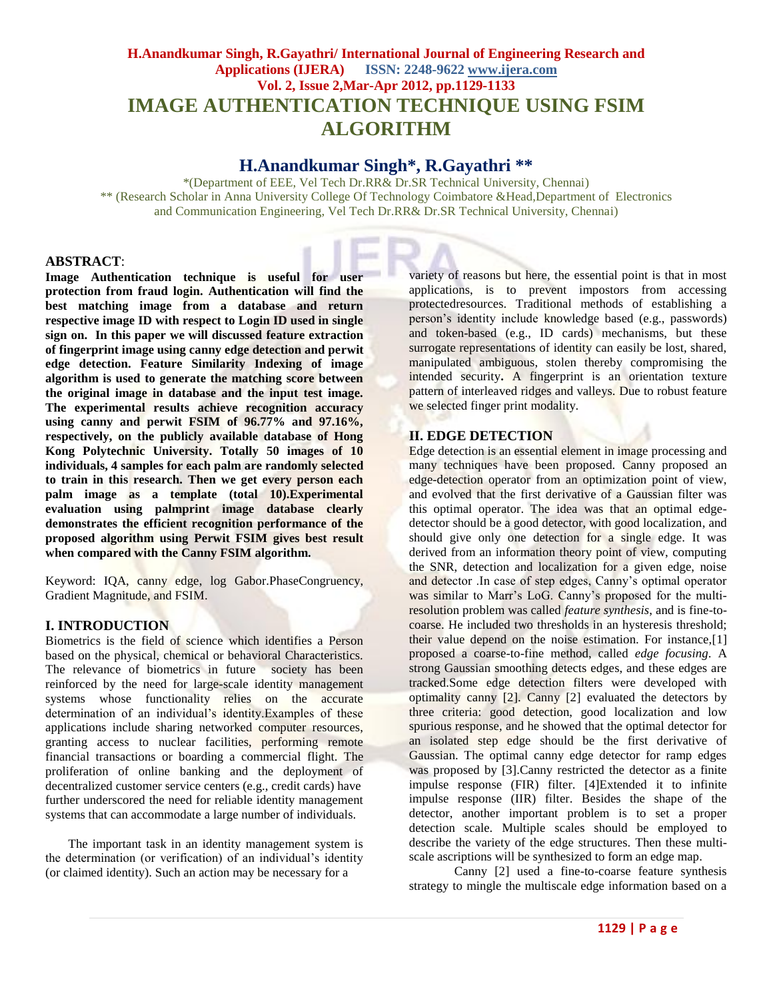# **H.Anandkumar Singh, R.Gayathri/ International Journal of Engineering Research and Applications (IJERA) ISSN: 2248-9622 www.ijera.com Vol. 2, Issue 2,Mar-Apr 2012, pp.1129-1133 IMAGE AUTHENTICATION TECHNIQUE USING FSIM ALGORITHM**

# **H.Anandkumar Singh\*, R.Gayathri \*\***

\*(Department of EEE, Vel Tech Dr.RR& Dr.SR Technical University, Chennai) \*\* (Research Scholar in Anna University College Of Technology Coimbatore &Head,Department of Electronics and Communication Engineering, Vel Tech Dr.RR& Dr.SR Technical University, Chennai)

## **ABSTRACT**:

**Image Authentication technique is useful for user protection from fraud login. Authentication will find the best matching image from a database and return respective image ID with respect to Login ID used in single sign on. In this paper we will discussed feature extraction of fingerprint image using canny edge detection and perwit edge detection. Feature Similarity Indexing of image algorithm is used to generate the matching score between the original image in database and the input test image. The experimental results achieve recognition accuracy using canny and perwit FSIM of 96.77% and 97.16%, respectively, on the publicly available database of Hong Kong Polytechnic University. Totally 50 images of 10 individuals, 4 samples for each palm are randomly selected to train in this research. Then we get every person each palm image as a template (total 10).Experimental evaluation using palmprint image database clearly demonstrates the efficient recognition performance of the proposed algorithm using Perwit FSIM gives best result when compared with the Canny FSIM algorithm.**

Keyword: IQA, canny edge, log Gabor.PhaseCongruency, Gradient Magnitude, and FSIM.

# **I. INTRODUCTION**

Biometrics is the field of science which identifies a Person based on the physical, chemical or behavioral Characteristics. The relevance of biometrics in future society has been reinforced by the need for large-scale identity management systems whose functionality relies on the accurate determination of an individual's identity.Examples of these applications include sharing networked computer resources, granting access to nuclear facilities, performing remote financial transactions or boarding a commercial flight. The proliferation of online banking and the deployment of decentralized customer service centers (e.g., credit cards) have further underscored the need for reliable identity management systems that can accommodate a large number of individuals.

The important task in an identity management system is the determination (or verification) of an individual's identity (or claimed identity). Such an action may be necessary for a

variety of reasons but here, the essential point is that in most applications, is to prevent impostors from accessing protectedresources. Traditional methods of establishing a person's identity include knowledge based (e.g., passwords) and token-based (e.g., ID cards) mechanisms, but these surrogate representations of identity can easily be lost, shared, manipulated ambiguous, stolen thereby compromising the intended security**.** A fingerprint is an orientation texture pattern of interleaved ridges and valleys. Due to robust feature we selected finger print modality.

# **II. EDGE DETECTION**

Edge detection is an essential element in image processing and many techniques have been proposed. Canny proposed an edge-detection operator from an optimization point of view, and evolved that the first derivative of a Gaussian filter was this optimal operator. The idea was that an optimal edgedetector should be a good detector, with good localization, and should give only one detection for a single edge. It was derived from an information theory point of view, computing the SNR, detection and localization for a given edge, noise and detector .In case of step edges, Canny's optimal operator was similar to Marr's LoG. Canny's proposed for the multiresolution problem was called *feature synthesis*, and is fine-tocoarse. He included two thresholds in an hysteresis threshold; their value depend on the noise estimation. For instance,[1] proposed a coarse-to-fine method, called *edge focusing*. A strong Gaussian smoothing detects edges, and these edges are tracked.Some edge detection filters were developed with optimality canny [2]. Canny [2] evaluated the detectors by three criteria: good detection, good localization and low spurious response, and he showed that the optimal detector for an isolated step edge should be the first derivative of Gaussian. The optimal canny edge detector for ramp edges was proposed by [3].Canny restricted the detector as a finite impulse response (FIR) filter. [4]Extended it to infinite impulse response (IIR) filter. Besides the shape of the detector, another important problem is to set a proper detection scale. Multiple scales should be employed to describe the variety of the edge structures. Then these multiscale ascriptions will be synthesized to form an edge map.

Canny [2] used a fine-to-coarse feature synthesis strategy to mingle the multiscale edge information based on a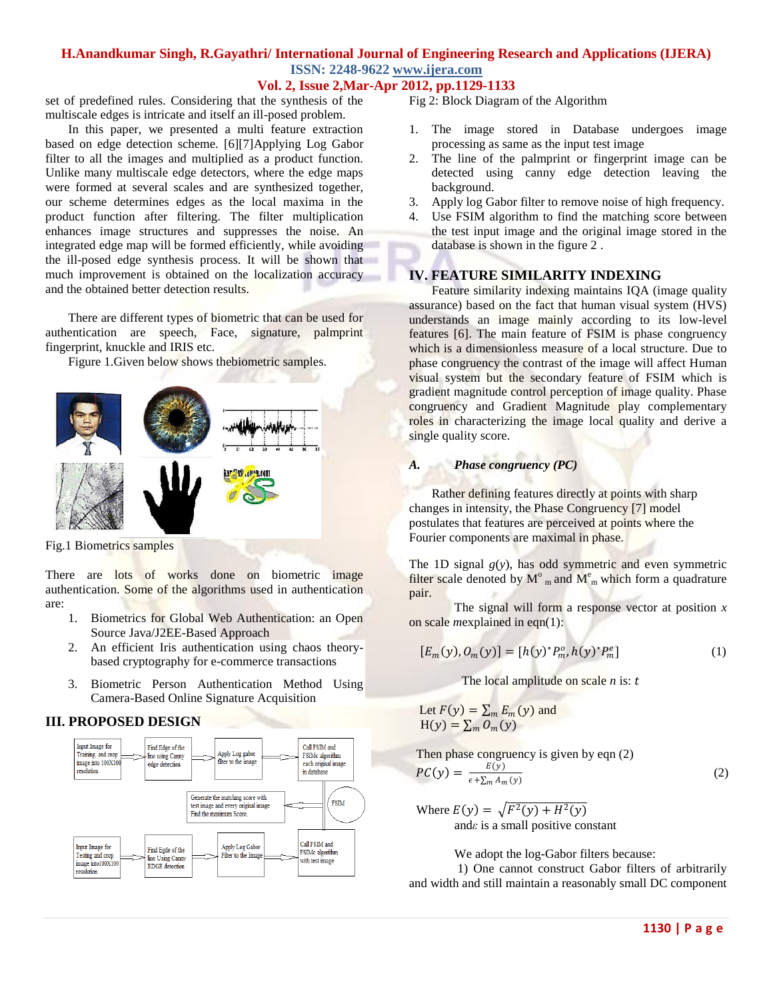# **H.Anandkumar Singh, R.Gayathri/ International Journal of Engineering Research and Applications (IJERA) ISSN: 2248-9622 www.ijera.com**

**Vol. 2, Issue 2,Mar-Apr 2012, pp.1129-1133**

set of predefined rules. Considering that the synthesis of the multiscale edges is intricate and itself an ill-posed problem.

In this paper, we presented a multi feature extraction based on edge detection scheme. [6][7]Applying Log Gabor filter to all the images and multiplied as a product function. Unlike many multiscale edge detectors, where the edge maps were formed at several scales and are synthesized together, our scheme determines edges as the local maxima in the product function after filtering. The filter multiplication enhances image structures and suppresses the noise. An integrated edge map will be formed efficiently, while avoiding the ill-posed edge synthesis process. It will be shown that much improvement is obtained on the localization accuracy and the obtained better detection results.

There are different types of biometric that can be used for authentication are speech, Face, signature, palmprint fingerprint, knuckle and IRIS etc.

Figure 1.Given below shows thebiometric samples.



Fig.1 Biometrics samples

There are lots of works done on biometric image authentication. Some of the algorithms used in authentication are:

- 1. Biometrics for Global Web Authentication: an Open Source Java/J2EE-Based Approach
- 2. An efficient Iris authentication using chaos theorybased cryptography for e-commerce transactions
- 3. Biometric Person Authentication Method Using Camera-Based Online Signature Acquisition

# **III. PROPOSED DESIGN**



Fig 2: Block Diagram of the Algorithm

- 1. The image stored in Database undergoes image processing as same as the input test image
- 2. The line of the palmprint or fingerprint image can be detected using canny edge detection leaving the background.
- 3. Apply log Gabor filter to remove noise of high frequency.
- 4. Use FSIM algorithm to find the matching score between the test input image and the original image stored in the database is shown in the figure 2 .

# **IV. FEATURE SIMILARITY INDEXING**

Feature similarity indexing maintains IQA (image quality assurance) based on the fact that human visual system (HVS) understands an image mainly according to its low-level features [6]. The main feature of FSIM is phase congruency which is a dimensionless measure of a local structure. Due to phase congruency the contrast of the image will affect Human visual system but the secondary feature of FSIM which is gradient magnitude control perception of image quality. Phase congruency and Gradient Magnitude play complementary roles in characterizing the image local quality and derive a single quality score.

# *A. Phase congruency (PC)*

Rather defining features directly at points with sharp changes in intensity, the Phase Congruency [7] model postulates that features are perceived at points where the Fourier components are maximal in phase.

The 1D signal  $g(y)$ , has odd symmetric and even symmetric filter scale denoted by  $M^{\circ}$ <sub>m</sub> and  $M^{\circ}$ <sub>m</sub> which form a quadrature pair.

The signal will form a response vector at position *x*  on scale *m*explained in eqn(1):

$$
[E_m(y), O_m(y)] = [h(y)^* P_m^o, h(y)^* P_m^e]
$$
 (1)

The local amplitude on scale *n* is:

Let 
$$
F(y) = \sum_m E_m(y)
$$
 and  
H(y) =  $\sum_m O_m(y)$ 

Then phase congruency is given by eqn  $(2)$  $\overline{P}$  $F(y)$ 

$$
C(y) = \frac{E(y)}{\epsilon + \sum_{m} A_m(y)}\tag{2}
$$

Where  $E(y) = \sqrt{F^2(y) + H^2(y)}$ and*ε* is a small positive constant

We adopt the log-Gabor filters because:

1) One cannot construct Gabor filters of arbitrarily and width and still maintain a reasonably small DC component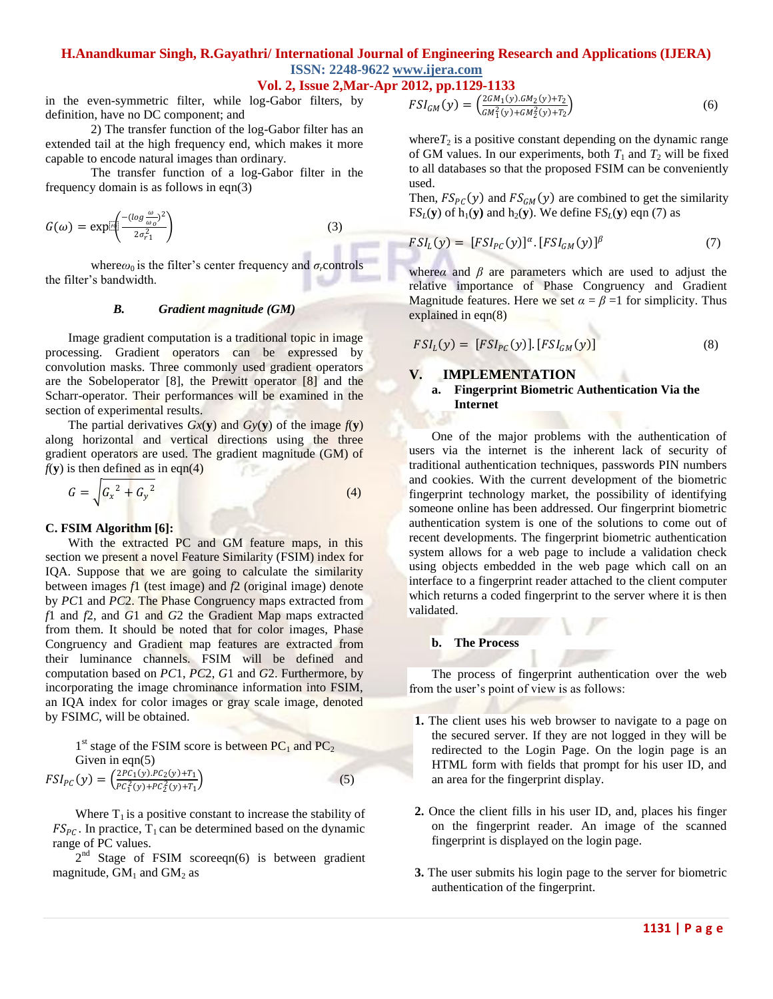# **H.Anandkumar Singh, R.Gayathri/ International Journal of Engineering Research and Applications (IJERA) ISSN: 2248-9622 www.ijera.com**

# **Vol. 2, Issue 2,Mar-Apr 2012, pp.1129-1133**

in the even-symmetric filter, while log-Gabor filters, by definition, have no DC component; and

2) The transfer function of the log-Gabor filter has an extended tail at the high frequency end, which makes it more capable to encode natural images than ordinary.

The transfer function of a log-Gabor filter in the frequency domain is as follows in eqn(3)

$$
G(\omega) = \exp\left[\frac{-(\log\frac{\omega}{\omega_o})^2}{2\sigma_{r1}^2}\right]
$$
 (3)

where $\omega_0$  is the filter's center frequency and  $\sigma_r$ controls the filter's bandwidth.

### *B. Gradient magnitude (GM)*

Image gradient computation is a traditional topic in image processing. Gradient operators can be expressed by convolution masks. Three commonly used gradient operators are the Sobeloperator [8], the Prewitt operator [8] and the Scharr-operator. Their performances will be examined in the section of experimental results.

The partial derivatives  $Gx(y)$  and  $Gy(y)$  of the image  $f(y)$ along horizontal and vertical directions using the three gradient operators are used. The gradient magnitude (GM) of  $f(y)$  is then defined as in eqn(4)

$$
G = \int G_x^2 + G_y^2 \tag{4}
$$

#### **C. FSIM Algorithm [6]:**

With the extracted PC and GM feature maps, in this section we present a novel Feature Similarity (FSIM) index for IQA. Suppose that we are going to calculate the similarity between images *f*1 (test image) and *f*2 (original image) denote by *PC*1 and *PC*2. The Phase Congruency maps extracted from *f*1 and *f*2, and *G*1 and *G*2 the Gradient Map maps extracted from them. It should be noted that for color images, Phase Congruency and Gradient map features are extracted from their luminance channels. FSIM will be defined and computation based on *PC*1, *PC*2, *G*1 and *G*2. Furthermore, by incorporating the image chrominance information into FSIM, an IQA index for color images or gray scale image, denoted by FSIM*C*, will be obtained.

 $1<sup>st</sup>$  stage of the FSIM score is between PC<sub>1</sub> and PC<sub>2</sub> Given in eqn(5)  $FSI_{PC}(y) = \left(\frac{2PC_1(y).PC_2(y)+T_1}{PC_2^2(y)+PC_2^2(y)+T_1}\right)$  $PC_1^2(y)+PC_2^2(y)+T_1$  $(5)$ 

Where  $T_1$  is a positive constant to increase the stability of  $FS_{PC}$ . In practice, T<sub>1</sub> can be determined based on the dynamic range of PC values.

 $2<sup>nd</sup>$  Stage of FSIM scoreeqn(6) is between gradient magnitude,  $GM_1$  and  $GM_2$  as

$$
FSI_{GM}(y) = \left(\frac{2GM_1(y).GM_2(y)+T_2}{GM_1^2(y)+GM_2^2(y)+T_2}\right)
$$
(6)

where $T_2$  is a positive constant depending on the dynamic range of GM values. In our experiments, both  $T_1$  and  $T_2$  will be fixed to all databases so that the proposed FSIM can be conveniently used.

Then,  $FS_{PC}(y)$  and  $FS_{GM}(y)$  are combined to get the similarity  $FS_L(y)$  of  $h_1(y)$  and  $h_2(y)$ . We define  $FS_L(y)$  eqn (7) as

$$
FSI_L(y) = [FSI_{PC}(y)]^{\alpha} \cdot [FSI_{GM}(y)]^{\beta} \tag{7}
$$

where*α* and  $\beta$  are parameters which are used to adjust the relative importance of Phase Congruency and Gradient Magnitude features. Here we set  $\alpha = \beta = 1$  for simplicity. Thus explained in eqn(8)

$$
FSI_L(y) = [FSI_{PC}(y)]. [FSI_{GM}(y)] \qquad (8)
$$

## **V. IMPLEMENTATION**

### **a. Fingerprint Biometric Authentication Via the Internet**

One of the major problems with the authentication of users via the internet is the inherent lack of security of traditional authentication techniques, passwords PIN numbers and cookies. With the current development of the biometric fingerprint technology market, the possibility of identifying someone online has been addressed. Our fingerprint biometric authentication system is one of the solutions to come out of recent developments. The fingerprint biometric authentication system allows for a web page to include a validation check using objects embedded in the web page which call on an interface to a fingerprint reader attached to the client computer which returns a coded fingerprint to the server where it is then validated.

#### **b. The Process**

The process of fingerprint authentication over the web from the user's point of view is as follows:

- **1.** The client uses his web browser to navigate to a page on the secured server. If they are not logged in they will be redirected to the Login Page. On the login page is an HTML form with fields that prompt for his user ID, and an area for the fingerprint display.
- **2.** Once the client fills in his user ID, and, places his finger on the fingerprint reader. An image of the scanned fingerprint is displayed on the login page.
- **3.** The user submits his login page to the server for biometric authentication of the fingerprint.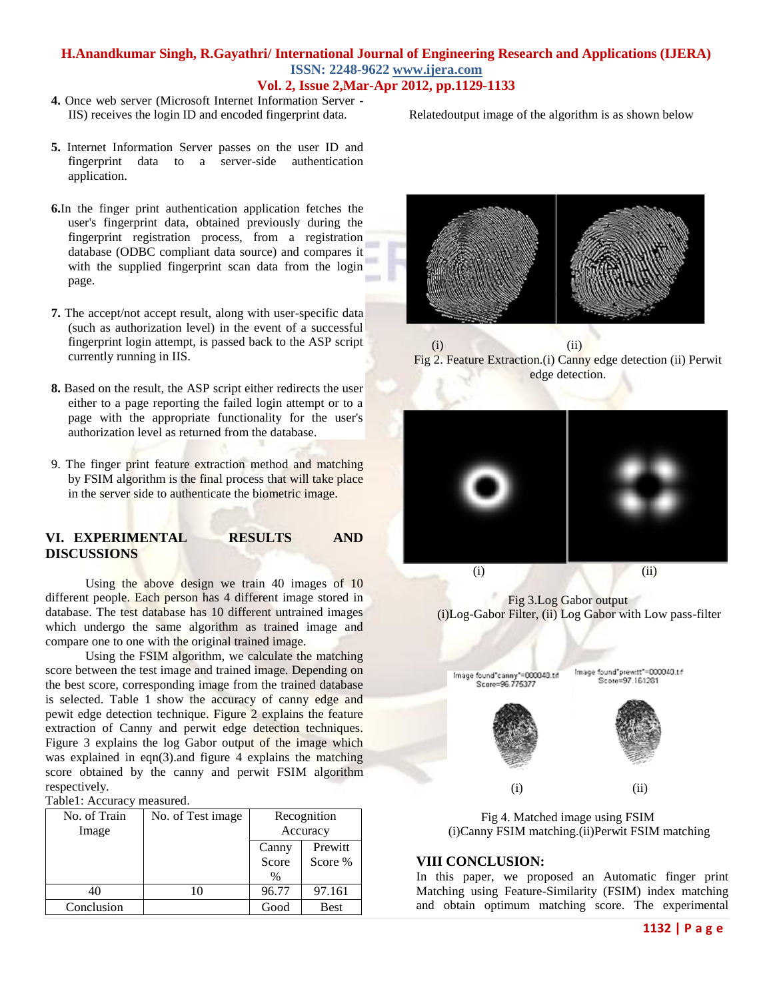## **H.Anandkumar Singh, R.Gayathri/ International Journal of Engineering Research and Applications (IJERA) ISSN: 2248-9622 www.ijera.com Vol. 2, Issue 2,Mar-Apr 2012, pp.1129-1133**

**4.** Once web server (Microsoft Internet Information Server - IIS) receives the login ID and encoded fingerprint data.

Relatedoutput image of the algorithm is as shown below

- **5.** Internet Information Server passes on the user ID and fingerprint data to a server-side authentication application.
- **6.**In the finger print authentication application fetches the user's fingerprint data, obtained previously during the fingerprint registration process, from a registration database (ODBC compliant data source) and compares it with the supplied fingerprint scan data from the login page.
- **7.** The accept/not accept result, along with user-specific data (such as authorization level) in the event of a successful fingerprint login attempt, is passed back to the ASP script currently running in IIS.
- **8.** Based on the result, the ASP script either redirects the user either to a page reporting the failed login attempt or to a page with the appropriate functionality for the user's authorization level as returned from the database.
- 9. The finger print feature extraction method and matching by FSIM algorithm is the final process that will take place in the server side to authenticate the biometric image.

## **VI. EXPERIMENTAL RESULTS AND DISCUSSIONS**

Using the above design we train 40 images of 10 different people. Each person has 4 different image stored in database. The test database has 10 different untrained images which undergo the same algorithm as trained image and compare one to one with the original trained image.

Using the FSIM algorithm, we calculate the matching score between the test image and trained image. Depending on the best score, corresponding image from the trained database is selected. Table 1 show the accuracy of canny edge and pewit edge detection technique. Figure 2 explains the feature extraction of Canny and perwit edge detection techniques. Figure 3 explains the log Gabor output of the image which was explained in eqn(3).and figure 4 explains the matching score obtained by the canny and perwit FSIM algorithm respectively.

Table1: Accuracy measured.

| No. of Train | No. of Test image | Recognition   |         |
|--------------|-------------------|---------------|---------|
| Image        |                   | Accuracy      |         |
|              |                   | Canny         | Prewitt |
|              |                   | Score         | Score % |
|              |                   | $\frac{0}{0}$ |         |
| 40           | 10                | 96.77         | 97.161  |
| Conclusion   |                   | Good          | Best    |



(i) (ii) Fig 2. Feature Extraction.(i) Canny edge detection (ii) Perwit edge detection.



Fig 3.Log Gabor output (i)Log-Gabor Filter, (ii) Log Gabor with Low pass-filter



Fig 4. Matched image using FSIM (i)Canny FSIM matching.(ii)Perwit FSIM matching

### **VIII CONCLUSION:**

In this paper, we proposed an Automatic finger print Matching using Feature-Similarity (FSIM) index matching and obtain optimum matching score. The experimental